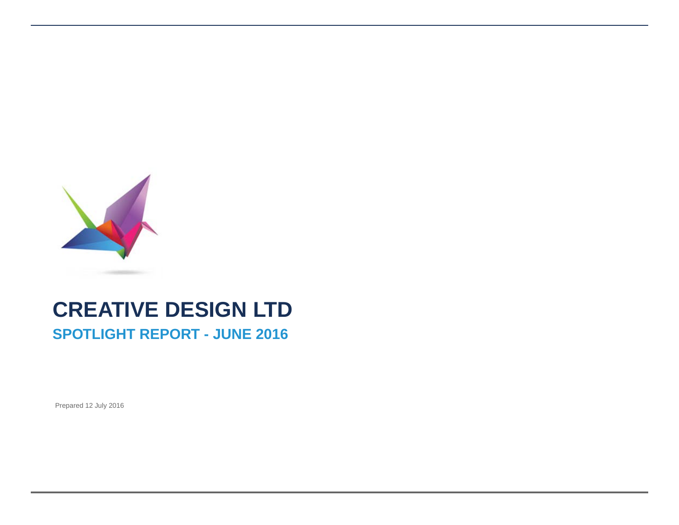

# **CREATIVE DESIGN LTD SPOTLIGHT REPORT - JUNE 2016**

Prepared 12 July 2016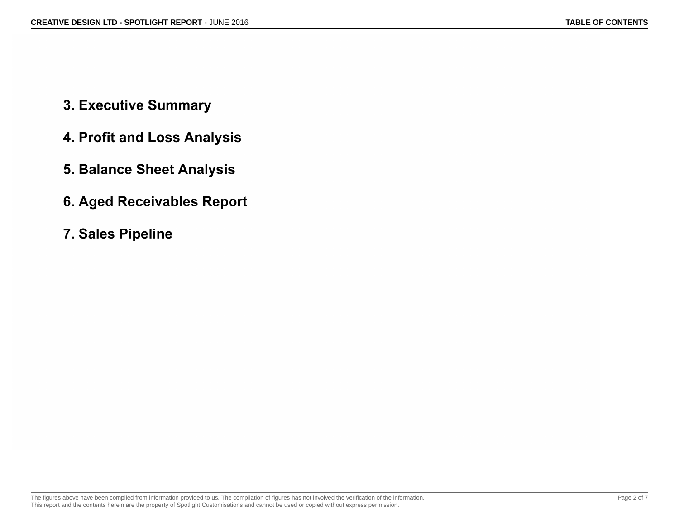- 3. Executive Summary
- 4. Profit and Loss Analysis
- 5. Balance Sheet Analysis
- **6. Aged Receivables Report**
- 7. Sales Pipeline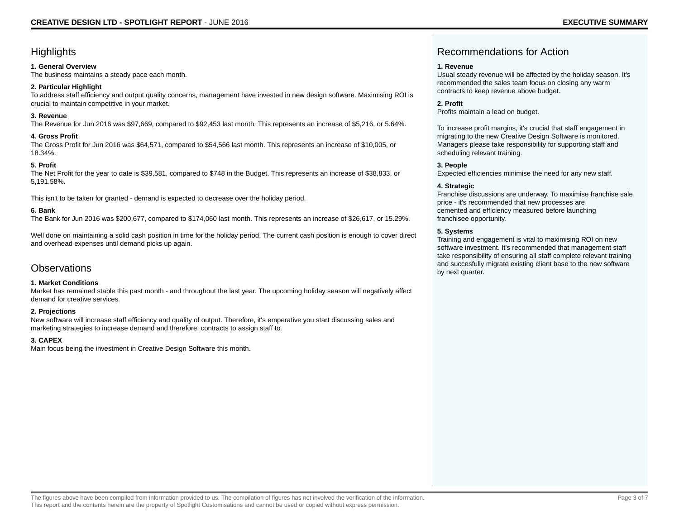### **Highlights**

#### **1. General Overview**

The business maintains a steady pace each month.

#### **2. Particular Highlight**

To address staff efficiency and output quality concerns, management have invested in new design software. Maximising ROI is crucial to maintain competitive in your market.

#### **3. Revenue**

The Revenue for Jun 2016 was \$97,669, compared to \$92,453 last month. This represents an increase of \$5,216, or 5.64%.

#### **4. Gross Profit**

The Gross Profit for Jun 2016 was \$64,571, compared to \$54,566 last month. This represents an increase of \$10,005, or 18.34%.

#### **5. Profit**

The Net Profit for the year to date is \$39,581, compared to \$748 in the Budget. This represents an increase of \$38,833, or 5,191.58%.

This isn't to be taken for granted - demand is expected to decrease over the holiday period.

#### **6. Bank**

The Bank for Jun 2016 was \$200,677, compared to \$174,060 last month. This represents an increase of \$26,617, or 15.29%.

Well done on maintaining a solid cash position in time for the holiday period. The current cash position is enough to cover direct and overhead expenses until demand picks up again.

### **Observations**

#### **1. Market Conditions**

Market has remained stable this past month - and throughout the last year. The upcoming holiday season will negatively affect demand for creative services.

#### **2. Projections**

New software will increase staff efficiency and quality of output. Therefore, it's emperative you start discussing sales and marketing strategies to increase demand and therefore, contracts to assign staff to.

#### **3. CAPEX**

Main focus being the investment in Creative Design Software this month.

## Recommendations for Action

#### **1. Revenue**

Usual steady revenue will be affected by the holiday season. It's recommended the sales team focus on closing any warm contracts to keep revenue above budget.

#### **2. Profit**

Profits maintain a lead on budget.

To increase profit margins, it's crucial that staff engagement in migrating to the new Creative Design Software is monitored. Managers please take responsibility for supporting staff and scheduling relevant training.

#### **3. People**

Expected efficiencies minimise the need for any new staff.

#### **4. Strategic**

Franchise discussions are underway. To maximise franchise sale price - it's recommended that new processes are cemented and efficiency measured before launching franchisee opportunity.

#### **5. Systems**

Training and engagement is vital to maximising ROI on new software investment. It's recommended that management staff take responsibility of ensuring all staff complete relevant training and succesfully migrate existing client base to the new software by next quarter.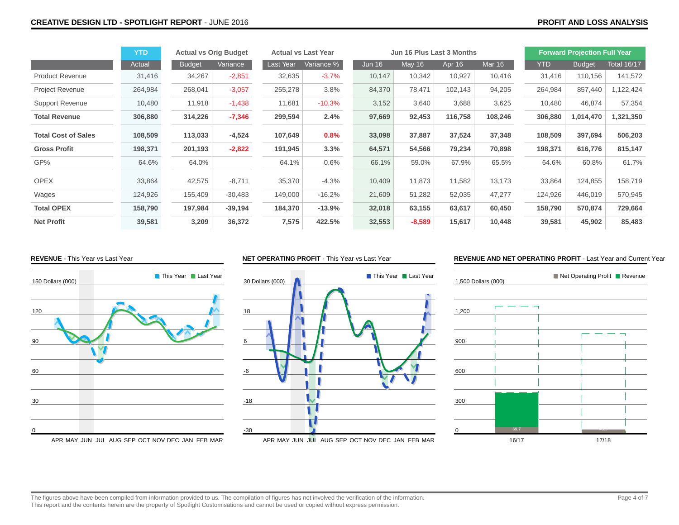|                            | <b>YTD</b> | <b>Actual vs Orig Budget</b> |           | <b>Actual vs Last Year</b> |            | Jun 16 Plus Last 3 Months |               |         |               | <b>Forward Projection Full Year</b> |               |                    |
|----------------------------|------------|------------------------------|-----------|----------------------------|------------|---------------------------|---------------|---------|---------------|-------------------------------------|---------------|--------------------|
|                            | Actual     | <b>Budget</b>                | Variance  | Last Year                  | Variance % | <b>Jun 16</b>             | <b>May 16</b> | Apr 16  | <b>Mar 16</b> | <b>YTD</b>                          | <b>Budget</b> | <b>Total 16/17</b> |
| <b>Product Revenue</b>     | 31,416     | 34,267                       | $-2,851$  | 32,635                     | $-3.7%$    | 10,147                    | 10,342        | 10,927  | 10,416        | 31,416                              | 110,156       | 141,572            |
| <b>Project Revenue</b>     | 264,984    | 268,041                      | $-3,057$  | 255,278                    | 3.8%       | 84,370                    | 78,471        | 102,143 | 94,205        | 264,984                             | 857,440       | 1,122,424          |
| <b>Support Revenue</b>     | 10,480     | 11,918                       | $-1,438$  | 11,681                     | $-10.3%$   | 3,152                     | 3,640         | 3,688   | 3,625         | 10,480                              | 46,874        | 57,354             |
| <b>Total Revenue</b>       | 306,880    | 314,226                      | $-7,346$  | 299,594                    | 2.4%       | 97,669                    | 92,453        | 116,758 | 108,246       | 306,880                             | 1,014,470     | 1,321,350          |
| <b>Total Cost of Sales</b> | 108,509    | 113,033                      | $-4,524$  | 107,649                    | 0.8%       | 33,098                    | 37,887        | 37,524  | 37,348        | 108,509                             | 397,694       | 506,203            |
| <b>Gross Profit</b>        | 198,371    | 201,193                      | $-2,822$  | 191,945                    | 3.3%       | 64,571                    | 54,566        | 79,234  | 70,898        | 198,371                             | 616,776       | 815,147            |
| GP%                        | 64.6%      | 64.0%                        |           | 64.1%                      | 0.6%       | 66.1%                     | 59.0%         | 67.9%   | 65.5%         | 64.6%                               | 60.8%         | 61.7%              |
| <b>OPEX</b>                | 33,864     | 42,575                       | $-8,711$  | 35,370                     | $-4.3%$    | 10,409                    | 11,873        | 11,582  | 13,173        | 33,864                              | 124,855       | 158,719            |
| Wages                      | 124,926    | 155,409                      | $-30,483$ | 149,000                    | $-16.2%$   | 21,609                    | 51,282        | 52,035  | 47,277        | 124,926                             | 446,019       | 570,945            |
| <b>Total OPEX</b>          | 158,790    | 197,984                      | $-39,194$ | 184,370                    | $-13.9%$   | 32,018                    | 63,155        | 63,617  | 60,450        | 158,790                             | 570,874       | 729,664            |
| <b>Net Profit</b>          | 39,581     | 3,209                        | 36,372    | 7,575                      | 422.5%     | 32,553                    | $-8,589$      | 15,617  | 10,448        | 39,581                              | 45,902        | 85,483             |

#### **REVENUE** - This Year vs Last Year



#### **NET OPERATING PROFIT** - This Year vs Last Year



#### **REVENUE AND NET OPERATING PROFIT** - Last Year and Current Year

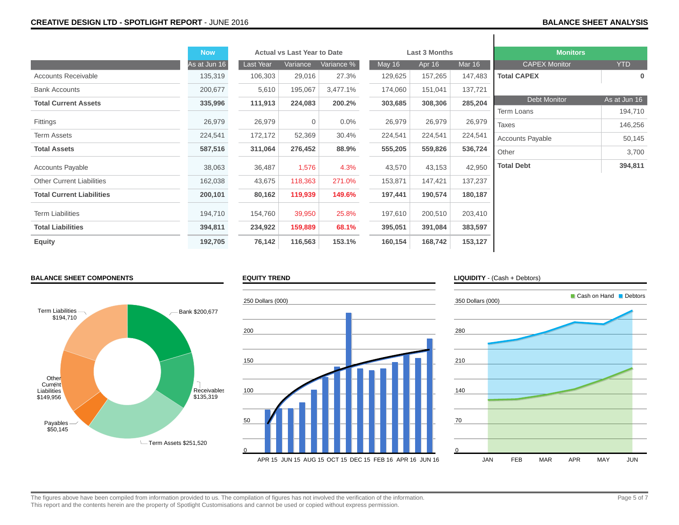|                                  | <b>Now</b>   |           | <b>Actual vs Last Year to Date</b> |            |               | Last 3 Months |         | <b>Monitors</b>         |              |
|----------------------------------|--------------|-----------|------------------------------------|------------|---------------|---------------|---------|-------------------------|--------------|
|                                  | As at Jun 16 | Last Year | Variance                           | Variance % | <b>May 16</b> | Apr 16        | Mar 16  | <b>CAPEX Monitor</b>    | <b>YTD</b>   |
| <b>Accounts Receivable</b>       | 135,319      | 106,303   | 29,016                             | 27.3%      | 129,625       | 157,265       | 147,483 | <b>Total CAPEX</b>      | $\bf{0}$     |
| <b>Bank Accounts</b>             | 200,677      | 5,610     | 195,067                            | 3,477.1%   | 174,060       | 151,041       | 137,721 |                         |              |
| <b>Total Current Assets</b>      | 335,996      | 111,913   | 224,083                            | 200.2%     | 303,685       | 308,306       | 285,204 | <b>Debt Monitor</b>     | As at Jun 16 |
|                                  |              |           |                                    |            |               |               |         | Term Loans              | 194,710      |
| Fittings                         | 26,979       | 26,979    | $\mathbf 0$                        | $0.0\%$    | 26,979        | 26,979        | 26,979  | <b>Taxes</b>            | 146,256      |
| <b>Term Assets</b>               | 224,541      | 172,172   | 52,369                             | 30.4%      | 224,541       | 224,541       | 224,541 | <b>Accounts Payable</b> | 50,145       |
| <b>Total Assets</b>              | 587,516      | 311,064   | 276,452                            | 88.9%      | 555,205       | 559,826       | 536,724 | Other                   | 3,700        |
| <b>Accounts Payable</b>          | 38,063       | 36,487    | 1,576                              | 4.3%       | 43,570        | 43,153        | 42,950  | <b>Total Debt</b>       | 394,811      |
| <b>Other Current Liabilities</b> | 162,038      | 43,675    | 118,363                            | 271.0%     | 153,871       | 147,421       | 137,237 |                         |              |
| <b>Total Current Liabilities</b> | 200,101      | 80,162    | 119,939                            | 149.6%     | 197,441       | 190,574       | 180,187 |                         |              |
| <b>Term Liabilities</b>          | 194,710      | 154,760   | 39,950                             | 25.8%      | 197,610       | 200,510       | 203,410 |                         |              |
| <b>Total Liabilities</b>         | 394,811      | 234,922   | 159,889                            | 68.1%      | 395,051       | 391,084       | 383,597 |                         |              |
| <b>Equity</b>                    | 192,705      | 76,142    | 116,563                            | 153.1%     | 160,154       | 168,742       | 153,127 |                         |              |

#### **BALANCE SHEET COMPONENTS**









**EQUITY TREND**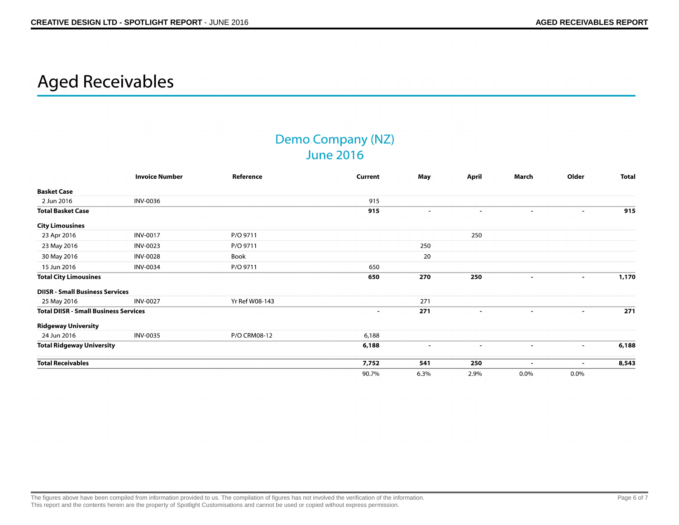## **Aged Receivables**

## **Demo Company (NZ) June 2016**

|                                              | <b>Invoice Number</b> | Reference      | Current | May                      | April                    | March                    | Older                    | <b>Total</b> |
|----------------------------------------------|-----------------------|----------------|---------|--------------------------|--------------------------|--------------------------|--------------------------|--------------|
| <b>Basket Case</b>                           |                       |                |         |                          |                          |                          |                          |              |
| 2 Jun 2016                                   | INV-0036              |                | 915     |                          |                          |                          |                          |              |
| <b>Total Basket Case</b>                     |                       |                | 915     | $\sim$                   | $\overline{\phantom{a}}$ | $\overline{\phantom{a}}$ | $\blacksquare$           | 915          |
| <b>City Limousines</b>                       |                       |                |         |                          |                          |                          |                          |              |
| 23 Apr 2016                                  | <b>INV-0017</b>       | P/O 9711       |         |                          | 250                      |                          |                          |              |
| 23 May 2016                                  | <b>INV-0023</b>       | P/O 9711       |         | 250                      |                          |                          |                          |              |
| 30 May 2016                                  | <b>INV-0028</b>       | Book           |         | 20                       |                          |                          |                          |              |
| 15 Jun 2016                                  | <b>INV-0034</b>       | P/O 9711       | 650     |                          |                          |                          |                          |              |
| <b>Total City Limousines</b>                 |                       |                | 650     | 270                      | 250                      | $\blacksquare$           | $\blacksquare$           | 1,170        |
| <b>DIISR - Small Business Services</b>       |                       |                |         |                          |                          |                          |                          |              |
| 25 May 2016                                  | <b>INV-0027</b>       | Yr Ref W08-143 |         | 271                      |                          |                          |                          |              |
| <b>Total DIISR - Small Business Services</b> |                       |                | $\sim$  | 271                      | $\blacksquare$           | $\sim$                   | $\blacksquare$           | 271          |
| <b>Ridgeway University</b>                   |                       |                |         |                          |                          |                          |                          |              |
| 24 Jun 2016                                  | <b>INV-0035</b>       | P/O CRM08-12   | 6,188   |                          |                          |                          |                          |              |
| <b>Total Ridgeway University</b>             |                       |                | 6,188   | $\overline{\phantom{a}}$ | $\blacksquare$           | $\overline{\phantom{a}}$ | $\overline{\phantom{a}}$ | 6,188        |
| <b>Total Receivables</b>                     |                       |                | 7,752   | 541                      | 250                      |                          | $\blacksquare$           | 8,543        |
|                                              |                       |                | 90.7%   | 6.3%                     | 2.9%                     | $0.0\%$                  | 0.0%                     |              |